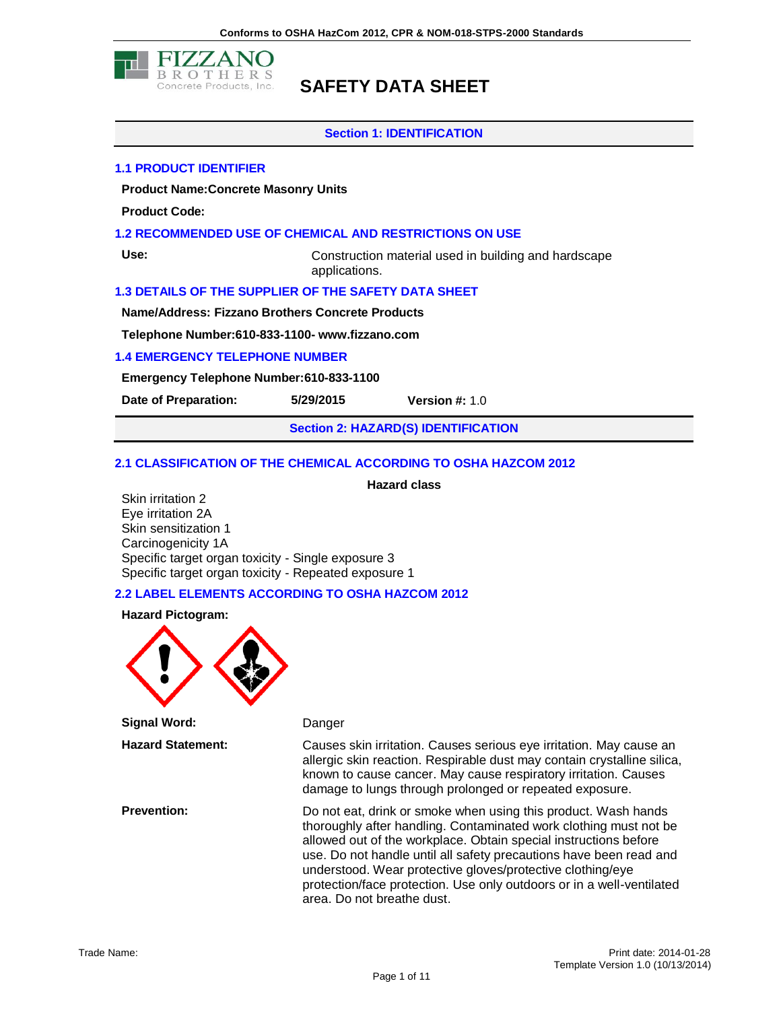

#### **Section 1: IDENTIFICATION**

#### **1.1 PRODUCT IDENTIFIER**

**Product Name:Concrete Masonry Units**

**Product Code:**

#### **1.2 RECOMMENDED USE OF CHEMICAL AND RESTRICTIONS ON USE**

**Use:** Construction material used in building and hardscape applications.

#### **1.3 DETAILS OF THE SUPPLIER OF THE SAFETY DATA SHEET**

**Name/Address: Fizzano Brothers Concrete Products**

**Telephone Number:610-833-1100- www.fizzano.com**

#### **1.4 EMERGENCY TELEPHONE NUMBER**

**Emergency Telephone Number:610-833-1100**

**Date of Preparation: 5/29/2015 Version #:** 1.0

**Section 2: HAZARD(S) IDENTIFICATION**

#### **2.1 CLASSIFICATION OF THE CHEMICAL ACCORDING TO OSHA HAZCOM 2012**

**Hazard class**

Skin irritation 2 Eye irritation 2A Skin sensitization 1 Carcinogenicity 1A Specific target organ toxicity - Single exposure 3 Specific target organ toxicity - Repeated exposure 1

#### **2.2 LABEL ELEMENTS ACCORDING TO OSHA HAZCOM 2012**



**Signal Word:** Danger

**Hazard Statement:** Causes skin irritation. Causes serious eye irritation. May cause an allergic skin reaction. Respirable dust may contain crystalline silica, known to cause cancer. May cause respiratory irritation. Causes damage to lungs through prolonged or repeated exposure.

**Prevention:** Do not eat, drink or smoke when using this product. Wash hands thoroughly after handling. Contaminated work clothing must not be allowed out of the workplace. Obtain special instructions before use. Do not handle until all safety precautions have been read and understood. Wear protective gloves/protective clothing/eye protection/face protection. Use only outdoors or in a well-ventilated area. Do not breathe dust.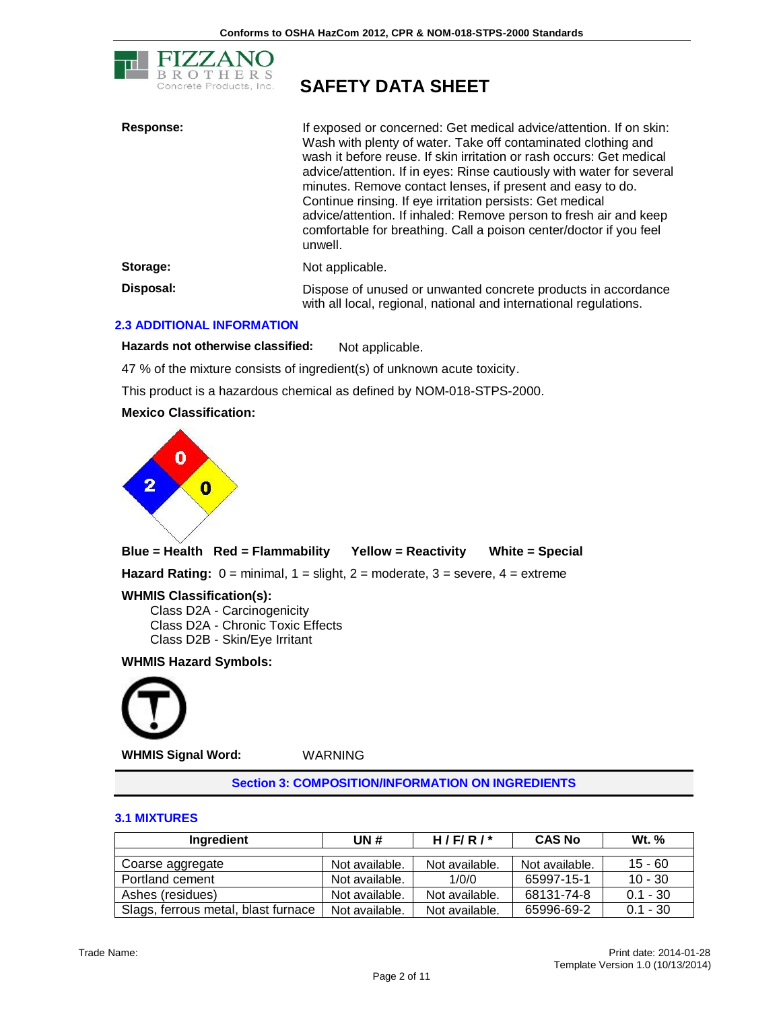

| <b>Response:</b> | If exposed or concerned: Get medical advice/attention. If on skin:<br>Wash with plenty of water. Take off contaminated clothing and<br>wash it before reuse. If skin irritation or rash occurs: Get medical<br>advice/attention. If in eyes: Rinse cautiously with water for several<br>minutes. Remove contact lenses, if present and easy to do.<br>Continue rinsing. If eye irritation persists: Get medical<br>advice/attention. If inhaled: Remove person to fresh air and keep<br>comfortable for breathing. Call a poison center/doctor if you feel<br>unwell. |
|------------------|-----------------------------------------------------------------------------------------------------------------------------------------------------------------------------------------------------------------------------------------------------------------------------------------------------------------------------------------------------------------------------------------------------------------------------------------------------------------------------------------------------------------------------------------------------------------------|
| Storage:         | Not applicable.                                                                                                                                                                                                                                                                                                                                                                                                                                                                                                                                                       |
| Disposal:        | Dispose of unused or unwanted concrete products in accordance<br>with all local, regional, national and international regulations.                                                                                                                                                                                                                                                                                                                                                                                                                                    |

#### **2.3 ADDITIONAL INFORMATION**

Hazards not otherwise classified: Not applicable.

47 % of the mixture consists of ingredient(s) of unknown acute toxicity.

This product is a hazardous chemical as defined by NOM-018-STPS-2000.

#### **Mexico Classification:**



**Blue = Health Red = Flammability Yellow = Reactivity White = Special**

**Hazard Rating:** 0 = minimal, 1 = slight, 2 = moderate, 3 = severe, 4 = extreme

**WHMIS Classification(s):**

Class D2A - Carcinogenicity Class D2A - Chronic Toxic Effects Class D2B - Skin/Eye Irritant

#### **WHMIS Hazard Symbols:**



**WHMIS Signal Word:** WARNING

**Section 3: COMPOSITION/INFORMATION ON INGREDIENTS**

#### **3.1 MIXTURES**

| Ingredient                          | UN#            | H/F/R/         | <b>CAS No</b>  | Wt. %      |
|-------------------------------------|----------------|----------------|----------------|------------|
|                                     |                |                |                |            |
| Coarse aggregate                    | Not available. | Not available. | Not available. | $15 - 60$  |
| Portland cement                     | Not available. | 1/0/0          | 65997-15-1     | $10 - 30$  |
| Ashes (residues)                    | Not available. | Not available. | 68131-74-8     | $0.1 - 30$ |
| Slags, ferrous metal, blast furnace | Not available. | Not available. | 65996-69-2     | $0.1 - 30$ |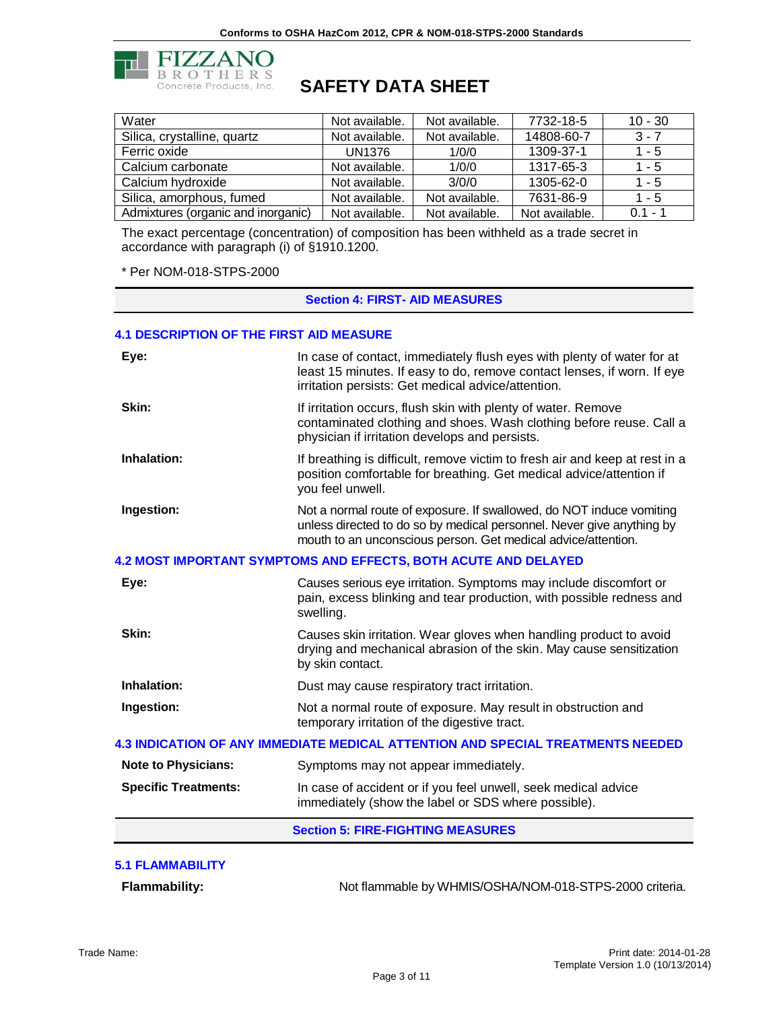

# **B R O T H E R S**<br>Concrete Products, Inc. **SAFETY DATA SHEET**

| Water                              | Not available. | Not available. | 7732-18-5      | $10 - 30$ |
|------------------------------------|----------------|----------------|----------------|-----------|
| Silica, crystalline, quartz        | Not available. | Not available. | 14808-60-7     | $3 - 7$   |
| Ferric oxide                       | <b>UN1376</b>  | 1/0/0          | 1309-37-1      | $1 - 5$   |
| Calcium carbonate                  | Not available. | 1/0/0          | 1317-65-3      | $1 - 5$   |
| Calcium hydroxide                  | Not available. | 3/0/0          | 1305-62-0      | $1 - 5$   |
| Silica, amorphous, fumed           | Not available. | Not available. | 7631-86-9      | $1 - 5$   |
| Admixtures (organic and inorganic) | Not available. | Not available. | Not available. | $01 - 1$  |

The exact percentage (concentration) of composition has been withheld as a trade secret in accordance with paragraph (i) of §1910.1200.

\* Per NOM-018-STPS-2000

**Section 4: FIRST- AID MEASURES**

#### **4.1 DESCRIPTION OF THE FIRST AID MEASURE**

| Eye:                                                                   | In case of contact, immediately flush eyes with plenty of water for at<br>least 15 minutes. If easy to do, remove contact lenses, if worn. If eye<br>irritation persists: Get medical advice/attention.        |  |
|------------------------------------------------------------------------|----------------------------------------------------------------------------------------------------------------------------------------------------------------------------------------------------------------|--|
| Skin:                                                                  | If irritation occurs, flush skin with plenty of water. Remove<br>contaminated clothing and shoes. Wash clothing before reuse. Call a<br>physician if irritation develops and persists.                         |  |
| Inhalation:                                                            | If breathing is difficult, remove victim to fresh air and keep at rest in a<br>position comfortable for breathing. Get medical advice/attention if<br>you feel unwell.                                         |  |
| Ingestion:                                                             | Not a normal route of exposure. If swallowed, do NOT induce vomiting<br>unless directed to do so by medical personnel. Never give anything by<br>mouth to an unconscious person. Get medical advice/attention. |  |
| <b>4.2 MOST IMPORTANT SYMPTOMS AND EFFECTS, BOTH ACUTE AND DELAYED</b> |                                                                                                                                                                                                                |  |
| Eye:                                                                   | Causes serious eye irritation. Symptoms may include discomfort or<br>pain, excess blinking and tear production, with possible redness and<br>swelling.                                                         |  |
| Skin:                                                                  | Causes skin irritation. Wear gloves when handling product to avoid<br>drying and mechanical abrasion of the skin. May cause sensitization<br>by skin contact.                                                  |  |
| <b>Inhalation:</b>                                                     | Dust may cause respiratory tract irritation.                                                                                                                                                                   |  |
| Ingestion:                                                             | Not a normal route of exposure. May result in obstruction and<br>temporary irritation of the digestive tract.                                                                                                  |  |
|                                                                        | <b>4.3 INDICATION OF ANY IMMEDIATE MEDICAL ATTENTION AND SPECIAL TREATMENTS NEEDED</b>                                                                                                                         |  |
| <b>Note to Physicians:</b>                                             | Symptoms may not appear immediately.                                                                                                                                                                           |  |
| <b>Specific Treatments:</b>                                            | In case of accident or if you feel unwell, seek medical advice<br>immediately (show the label or SDS where possible).                                                                                          |  |
|                                                                        | <b>Section 5: FIRE-FIGHTING MEASURES</b>                                                                                                                                                                       |  |
| <b>5.1 FLAMMABILITY</b>                                                |                                                                                                                                                                                                                |  |

Flammability: Not flammable by WHMIS/OSHA/NOM-018-STPS-2000 criteria.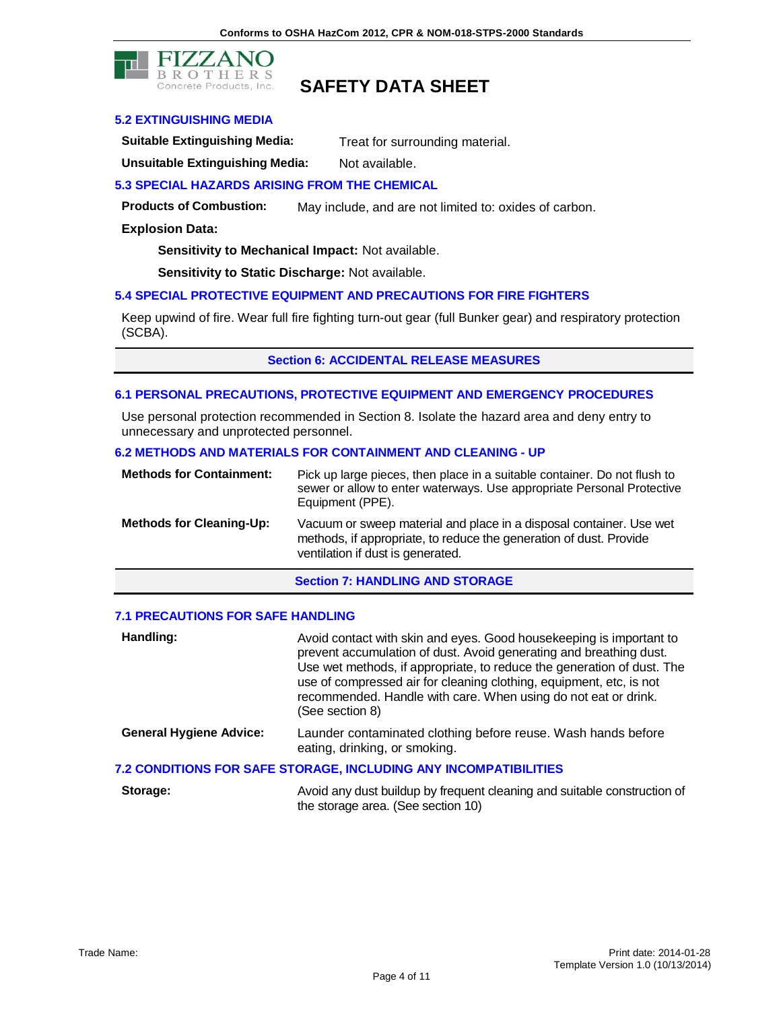

#### **5.2 EXTINGUISHING MEDIA**

**Suitable Extinguishing Media:** Treat for surrounding material.

**Unsuitable Extinguishing Media:** Not available.

**5.3 SPECIAL HAZARDS ARISING FROM THE CHEMICAL**

**Products of Combustion:** May include, and are not limited to: oxides of carbon.

#### **Explosion Data:**

**Sensitivity to Mechanical Impact:** Not available.

**Sensitivity to Static Discharge:** Not available.

#### **5.4 SPECIAL PROTECTIVE EQUIPMENT AND PRECAUTIONS FOR FIRE FIGHTERS**

Keep upwind of fire. Wear full fire fighting turn-out gear (full Bunker gear) and respiratory protection (SCBA).

**Section 6: ACCIDENTAL RELEASE MEASURES** 

#### **6.1 PERSONAL PRECAUTIONS, PROTECTIVE EQUIPMENT AND EMERGENCY PROCEDURES**

Use personal protection recommended in Section 8. Isolate the hazard area and deny entry to unnecessary and unprotected personnel.

#### **6.2 METHODS AND MATERIALS FOR CONTAINMENT AND CLEANING - UP**

| <b>Methods for Containment:</b> | Pick up large pieces, then place in a suitable container. Do not flush to<br>sewer or allow to enter waterways. Use appropriate Personal Protective<br>Equipment (PPE).        |
|---------------------------------|--------------------------------------------------------------------------------------------------------------------------------------------------------------------------------|
| <b>Methods for Cleaning-Up:</b> | Vacuum or sweep material and place in a disposal container. Use wet<br>methods, if appropriate, to reduce the generation of dust. Provide<br>ventilation if dust is generated. |

**Section 7: HANDLING AND STORAGE** 

#### **7.1 PRECAUTIONS FOR SAFE HANDLING**

| Handling:                      | Avoid contact with skin and eyes. Good housekeeping is important to<br>prevent accumulation of dust. Avoid generating and breathing dust.<br>Use wet methods, if appropriate, to reduce the generation of dust. The<br>use of compressed air for cleaning clothing, equipment, etc, is not<br>recommended. Handle with care. When using do not eat or drink.<br>(See section 8) |
|--------------------------------|---------------------------------------------------------------------------------------------------------------------------------------------------------------------------------------------------------------------------------------------------------------------------------------------------------------------------------------------------------------------------------|
| <b>General Hygiene Advice:</b> | Launder contaminated clothing before reuse. Wash hands before<br>eating, drinking, or smoking.                                                                                                                                                                                                                                                                                  |
|                                | 7.2 CONDITIONS FOR SAFE STORAGE, INCLUDING ANY INCOMPATIBILITIES                                                                                                                                                                                                                                                                                                                |
| Storage:                       | Avoid any dust buildup by frequent cleaning and suitable construction of                                                                                                                                                                                                                                                                                                        |

**Storage:** Avoid any dust buildup by frequent cleaning and suitable construction of the storage area. (See section 10)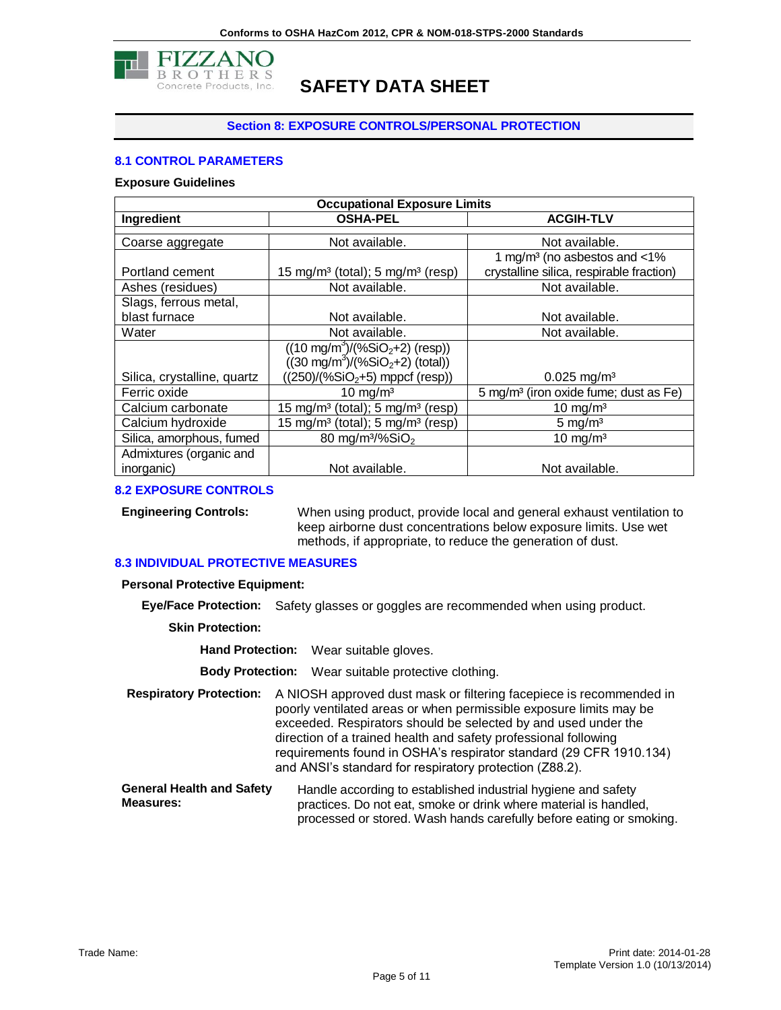

#### **Section 8: EXPOSURE CONTROLS/PERSONAL PROTECTION**

#### **8.1 CONTROL PARAMETERS**

#### **Exposure Guidelines**

| <b>Occupational Exposure Limits</b> |                                                          |                                                   |  |
|-------------------------------------|----------------------------------------------------------|---------------------------------------------------|--|
| Ingredient                          | <b>OSHA-PEL</b>                                          | <b>ACGIH-TLV</b>                                  |  |
|                                     |                                                          |                                                   |  |
| Coarse aggregate                    | Not available.                                           | Not available.                                    |  |
|                                     |                                                          | 1 mg/m <sup>3</sup> (no asbestos and $<$ 1%       |  |
| Portland cement                     | 15 mg/m <sup>3</sup> (total); 5 mg/m <sup>3</sup> (resp) | crystalline silica, respirable fraction)          |  |
| Ashes (residues)                    | Not available.                                           | Not available.                                    |  |
| Slags, ferrous metal,               |                                                          |                                                   |  |
| blast furnace                       | Not available.                                           | Not available.                                    |  |
| Water                               | Not available.                                           | Not available.                                    |  |
|                                     | $((10 \text{ mg/m}^3)/(%SiO2+2)$ (resp))                 |                                                   |  |
|                                     | $((30 \text{ mg/m}^3)/(96 \text{SiO}_2 + 2)$ (total))    |                                                   |  |
| Silica, crystalline, quartz         | $((250)/(%SiO2+5)$ mppcf (resp))                         | $0.025$ mg/m <sup>3</sup>                         |  |
| Ferric oxide                        | $10 \text{ mg/m}^3$                                      | 5 mg/m <sup>3</sup> (iron oxide fume; dust as Fe) |  |
| Calcium carbonate                   | 15 mg/m <sup>3</sup> (total); 5 mg/m <sup>3</sup> (resp) | 10 mg/m <sup>3</sup>                              |  |
| Calcium hydroxide                   | 15 mg/m <sup>3</sup> (total); 5 mg/m <sup>3</sup> (resp) | 5 mg/ $m3$                                        |  |
| Silica, amorphous, fumed            | 80 mg/m <sup>3</sup> /%SiO <sub>2</sub>                  | $10 \text{ mg/m}^3$                               |  |
| Admixtures (organic and             |                                                          |                                                   |  |
| inorganic)                          | Not available.                                           | Not available.                                    |  |

#### **8.2 EXPOSURE CONTROLS**

**Engineering Controls:** When using product, provide local and general exhaust ventilation to keep airborne dust concentrations below exposure limits. Use wet methods, if appropriate, to reduce the generation of dust.

#### **8.3 INDIVIDUAL PROTECTIVE MEASURES**

**Personal Protective Equipment:**

**Eye/Face Protection:** Safety glasses or goggles are recommended when using product.

**Skin Protection:**

**Hand Protection:** Wear suitable gloves.

**Body Protection:** Wear suitable protective clothing.

- **Respiratory Protection:** A NIOSH approved dust mask or filtering facepiece is recommended in poorly ventilated areas or when permissible exposure limits may be exceeded. Respirators should be selected by and used under the direction of a trained health and safety professional following requirements found in OSHA's respirator standard (29 CFR 1910.134) and ANSI's standard for respiratory protection (Z88.2).
- **General Health and Safety Measures:** Handle according to established industrial hygiene and safety practices. Do not eat, smoke or drink where material is handled, processed or stored. Wash hands carefully before eating or smoking.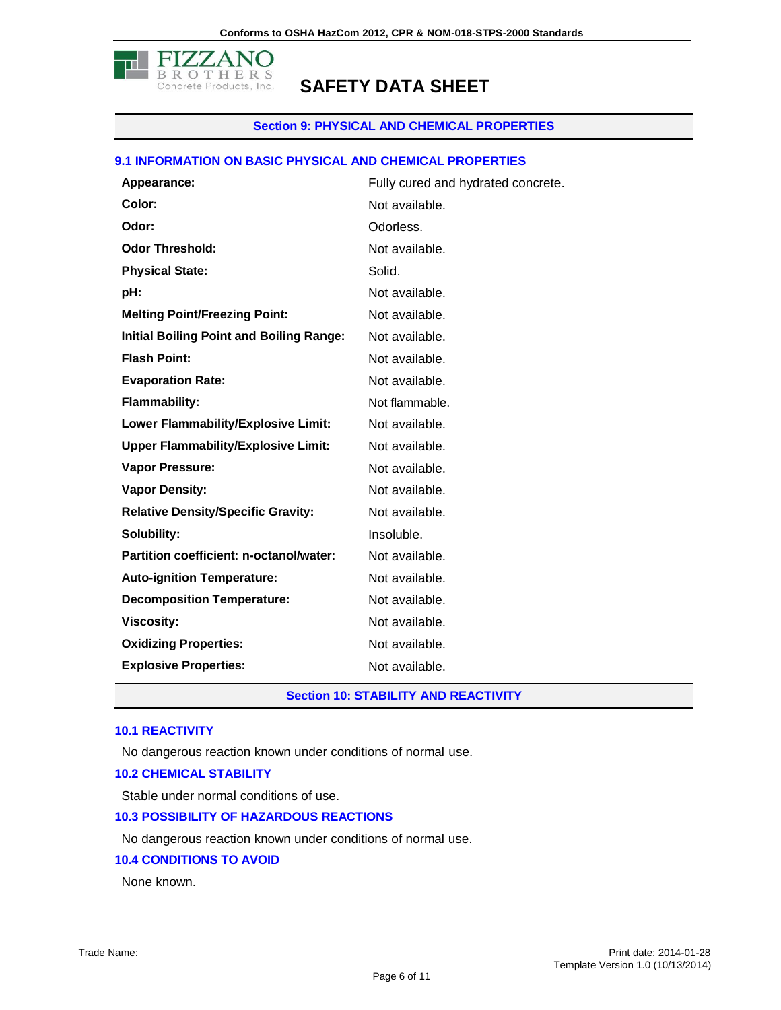

#### **Section 9: PHYSICAL AND CHEMICAL PROPERTIES**

#### **9.1 INFORMATION ON BASIC PHYSICAL AND CHEMICAL PROPERTIES**

| Appearance:                                     | Fully cured and hydrated concrete. |
|-------------------------------------------------|------------------------------------|
| Color:                                          | Not available.                     |
| Odor:                                           | Odorless.                          |
| <b>Odor Threshold:</b>                          | Not available.                     |
| <b>Physical State:</b>                          | Solid.                             |
| pH:                                             | Not available.                     |
| <b>Melting Point/Freezing Point:</b>            | Not available.                     |
| <b>Initial Boiling Point and Boiling Range:</b> | Not available.                     |
| <b>Flash Point:</b>                             | Not available.                     |
| <b>Evaporation Rate:</b>                        | Not available.                     |
| <b>Flammability:</b>                            | Not flammable.                     |
| Lower Flammability/Explosive Limit:             | Not available.                     |
| <b>Upper Flammability/Explosive Limit:</b>      | Not available.                     |
| <b>Vapor Pressure:</b>                          | Not available.                     |
| <b>Vapor Density:</b>                           | Not available.                     |
| <b>Relative Density/Specific Gravity:</b>       | Not available.                     |
| Solubility:                                     | Insoluble.                         |
| Partition coefficient: n-octanol/water:         | Not available.                     |
| <b>Auto-ignition Temperature:</b>               | Not available.                     |
| <b>Decomposition Temperature:</b>               | Not available.                     |
| <b>Viscosity:</b>                               | Not available.                     |
| <b>Oxidizing Properties:</b>                    | Not available.                     |
| <b>Explosive Properties:</b>                    | Not available.                     |

**Section 10: STABILITY AND REACTIVITY**

#### **10.1 REACTIVITY**

No dangerous reaction known under conditions of normal use.

#### **10.2 CHEMICAL STABILITY**

Stable under normal conditions of use.

#### **10.3 POSSIBILITY OF HAZARDOUS REACTIONS**

No dangerous reaction known under conditions of normal use.

#### **10.4 CONDITIONS TO AVOID**

None known.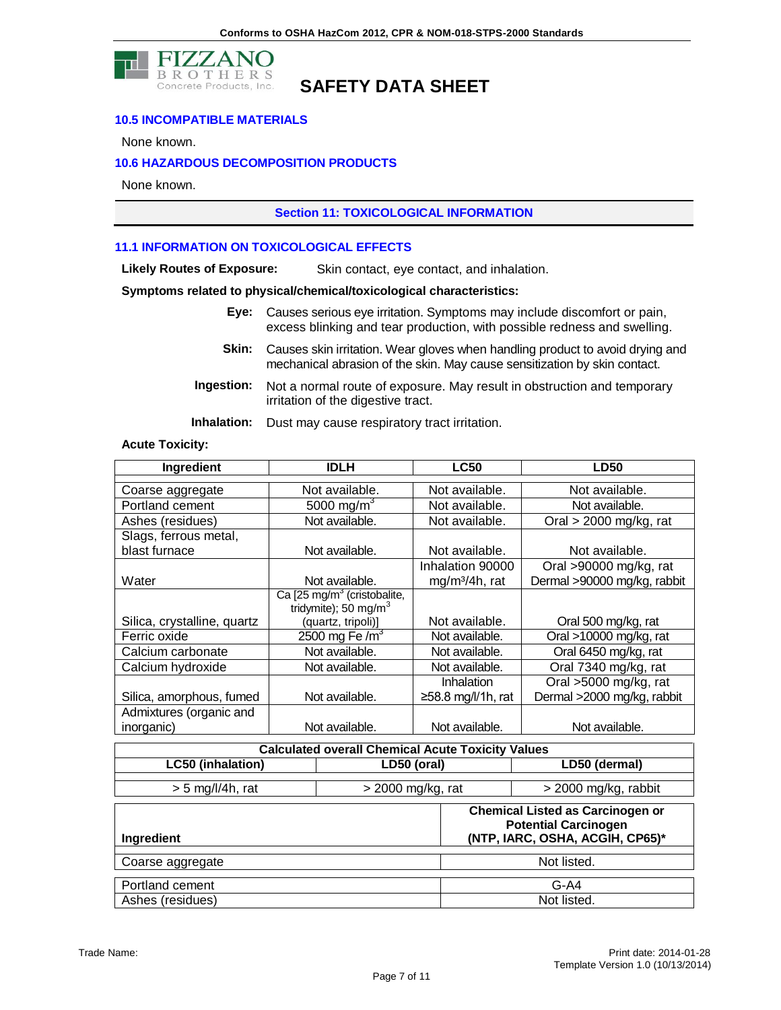

#### **10.5 INCOMPATIBLE MATERIALS**

None known.

#### **10.6 HAZARDOUS DECOMPOSITION PRODUCTS**

None known.

#### **Section 11: TOXICOLOGICAL INFORMATION**

#### **11.1 INFORMATION ON TOXICOLOGICAL EFFECTS**

**Likely Routes of Exposure:** Skin contact, eye contact, and inhalation.

#### **Symptoms related to physical/chemical/toxicological characteristics:**

- **Eye:** Causes serious eye irritation. Symptoms may include discomfort or pain, excess blinking and tear production, with possible redness and swelling.
- **Skin:** Causes skin irritation. Wear gloves when handling product to avoid drying and mechanical abrasion of the skin. May cause sensitization by skin contact.
- **Ingestion:** Not a normal route of exposure. May result in obstruction and temporary irritation of the digestive tract.

**Inhalation:** Dust may cause respiratory tract irritation.

#### **Acute Toxicity:**

| Ingredient                  | <b>IDLH</b>                             | <b>LC50</b>                | <b>LD50</b>                 |
|-----------------------------|-----------------------------------------|----------------------------|-----------------------------|
| Coarse aggregate            | Not available.                          | Not available.             | Not available.              |
| Portland cement             | 5000 mg/m <sup>3</sup>                  | Not available.             | Not available.              |
| Ashes (residues)            | Not available.                          | Not available.             | Oral $>$ 2000 mg/kg, rat    |
| Slags, ferrous metal,       |                                         |                            |                             |
| blast furnace               | Not available.                          | Not available.             | Not available.              |
|                             |                                         | Inhalation 90000           | Oral >90000 mg/kg, rat      |
| Water                       | Not available.                          | mg/m <sup>3</sup> /4h, rat | Dermal >90000 mg/kg, rabbit |
|                             | Ca [25 mg/m <sup>3</sup> (cristobalite, |                            |                             |
|                             | tridymite); 50 mg/m <sup>3</sup>        |                            |                             |
| Silica, crystalline, quartz | (quartz, tripoli)]                      | Not available.             | Oral 500 mg/kg, rat         |
| Ferric oxide                | 2500 mg Fe $/m3$                        | Not available.             | Oral >10000 mg/kg, rat      |
| Calcium carbonate           | Not available.                          | Not available.             | Oral 6450 mg/kg, rat        |
| Calcium hydroxide           | Not available.                          | Not available.             | Oral 7340 mg/kg, rat        |
|                             |                                         | Inhalation                 | Oral >5000 mg/kg, rat       |
| Silica, amorphous, fumed    | Not available.                          | ≥58.8 mg/l/1h, rat         | Dermal >2000 mg/kg, rabbit  |
| Admixtures (organic and     |                                         |                            |                             |
| inorganic)                  | Not available.                          | Not available.             | Not available.              |

| <b>Calculated overall Chemical Acute Toxicity Values</b>     |             |  |                                                                                                           |
|--------------------------------------------------------------|-------------|--|-----------------------------------------------------------------------------------------------------------|
| <b>LC50 (inhalation)</b>                                     | LD50 (oral) |  | LD50 (dermal)                                                                                             |
| $> 5$ mg/l/4h, rat<br>> 2000 mg/kg, rat                      |             |  | > 2000 mg/kg, rabbit                                                                                      |
| <b>Ingredient</b>                                            |             |  | <b>Chemical Listed as Carcinogen or</b><br><b>Potential Carcinogen</b><br>(NTP, IARC, OSHA, ACGIH, CP65)* |
| Coarse aggregate                                             |             |  | Not listed.                                                                                               |
| Portland cement<br>$G-A4$<br>Not listed.<br>Ashes (residues) |             |  |                                                                                                           |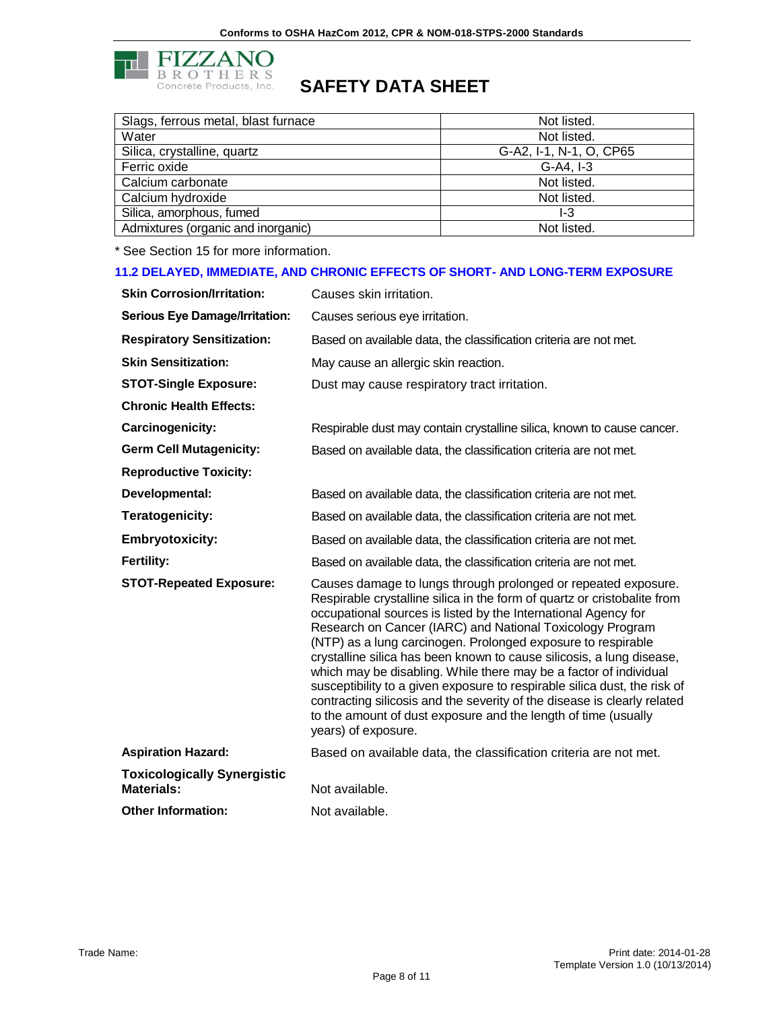

| Slags, ferrous metal, blast furnace | Not listed.             |
|-------------------------------------|-------------------------|
| Water                               | Not listed.             |
| Silica, crystalline, quartz         | G-A2, I-1, N-1, O, CP65 |
| Ferric oxide                        | $G-A4. I-3$             |
| Calcium carbonate                   | Not listed.             |
| Calcium hydroxide                   | Not listed.             |
| Silica, amorphous, fumed            | l-3                     |
| Admixtures (organic and inorganic)  | Not listed.             |

\* See Section 15 for more information.

#### **11.2 DELAYED, IMMEDIATE, AND CHRONIC EFFECTS OF SHORT- AND LONG-TERM EXPOSURE**

| <b>Skin Corrosion/Irritation:</b>     | Causes skin irritation.                                                                                                                                                                                                                                                                                                                                                                                                                                                                                                                                                                                                                                                                                                                   |
|---------------------------------------|-------------------------------------------------------------------------------------------------------------------------------------------------------------------------------------------------------------------------------------------------------------------------------------------------------------------------------------------------------------------------------------------------------------------------------------------------------------------------------------------------------------------------------------------------------------------------------------------------------------------------------------------------------------------------------------------------------------------------------------------|
| <b>Serious Eye Damage/Irritation:</b> | Causes serious eye irritation.                                                                                                                                                                                                                                                                                                                                                                                                                                                                                                                                                                                                                                                                                                            |
| <b>Respiratory Sensitization:</b>     | Based on available data, the classification criteria are not met.                                                                                                                                                                                                                                                                                                                                                                                                                                                                                                                                                                                                                                                                         |
| <b>Skin Sensitization:</b>            | May cause an allergic skin reaction.                                                                                                                                                                                                                                                                                                                                                                                                                                                                                                                                                                                                                                                                                                      |
| <b>STOT-Single Exposure:</b>          | Dust may cause respiratory tract irritation.                                                                                                                                                                                                                                                                                                                                                                                                                                                                                                                                                                                                                                                                                              |
| <b>Chronic Health Effects:</b>        |                                                                                                                                                                                                                                                                                                                                                                                                                                                                                                                                                                                                                                                                                                                                           |
| Carcinogenicity:                      | Respirable dust may contain crystalline silica, known to cause cancer.                                                                                                                                                                                                                                                                                                                                                                                                                                                                                                                                                                                                                                                                    |
| <b>Germ Cell Mutagenicity:</b>        | Based on available data, the classification criteria are not met.                                                                                                                                                                                                                                                                                                                                                                                                                                                                                                                                                                                                                                                                         |
| <b>Reproductive Toxicity:</b>         |                                                                                                                                                                                                                                                                                                                                                                                                                                                                                                                                                                                                                                                                                                                                           |
| Developmental:                        | Based on available data, the classification criteria are not met.                                                                                                                                                                                                                                                                                                                                                                                                                                                                                                                                                                                                                                                                         |
| Teratogenicity:                       | Based on available data, the classification criteria are not met.                                                                                                                                                                                                                                                                                                                                                                                                                                                                                                                                                                                                                                                                         |
| <b>Embryotoxicity:</b>                | Based on available data, the classification criteria are not met.                                                                                                                                                                                                                                                                                                                                                                                                                                                                                                                                                                                                                                                                         |
| <b>Fertility:</b>                     | Based on available data, the classification criteria are not met.                                                                                                                                                                                                                                                                                                                                                                                                                                                                                                                                                                                                                                                                         |
| <b>STOT-Repeated Exposure:</b>        | Causes damage to lungs through prolonged or repeated exposure.<br>Respirable crystalline silica in the form of quartz or cristobalite from<br>occupational sources is listed by the International Agency for<br>Research on Cancer (IARC) and National Toxicology Program<br>(NTP) as a lung carcinogen. Prolonged exposure to respirable<br>crystalline silica has been known to cause silicosis, a lung disease,<br>which may be disabling. While there may be a factor of individual<br>susceptibility to a given exposure to respirable silica dust, the risk of<br>contracting silicosis and the severity of the disease is clearly related<br>to the amount of dust exposure and the length of time (usually<br>years) of exposure. |
| <b>Aspiration Hazard:</b>             | Based on available data, the classification criteria are not met.                                                                                                                                                                                                                                                                                                                                                                                                                                                                                                                                                                                                                                                                         |
| <b>Toxicologically Synergistic</b>    |                                                                                                                                                                                                                                                                                                                                                                                                                                                                                                                                                                                                                                                                                                                                           |
| <b>Materials:</b>                     | Not available.                                                                                                                                                                                                                                                                                                                                                                                                                                                                                                                                                                                                                                                                                                                            |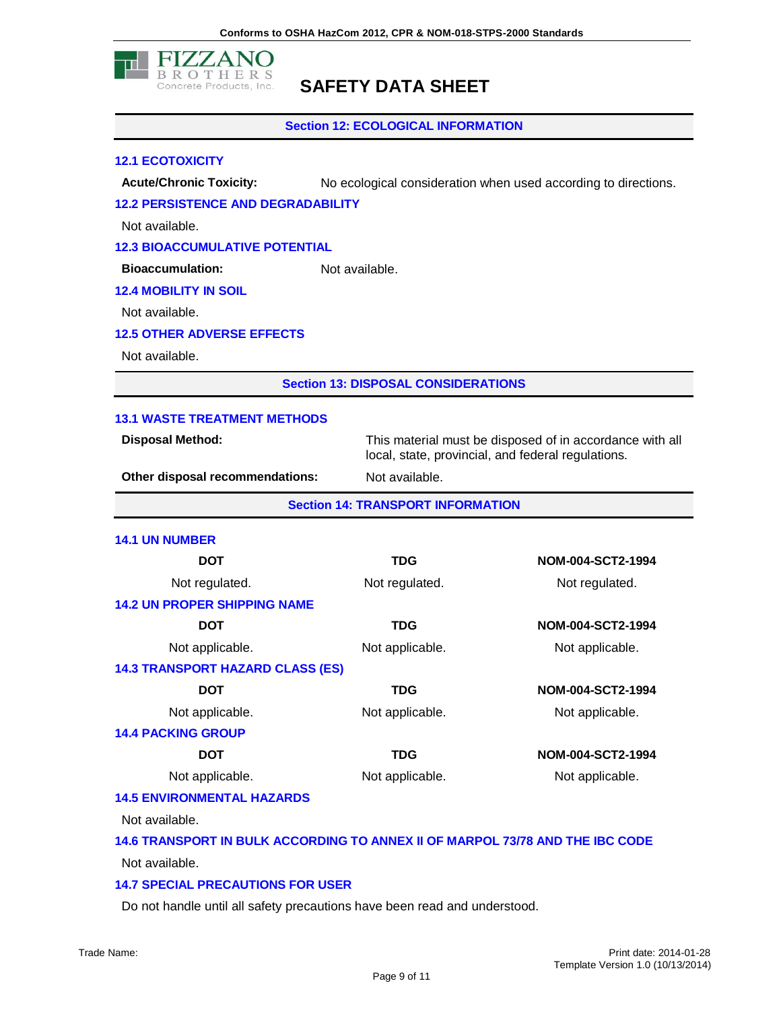

**Section 12: ECOLOGICAL INFORMATION**

#### **12.1 ECOTOXICITY**

**Acute/Chronic Toxicity:** No ecological consideration when used according to directions.

#### **12.2 PERSISTENCE AND DEGRADABILITY**

Not available.

#### **12.3 BIOACCUMULATIVE POTENTIAL**

**Bioaccumulation:** Not available.

### **12.4 MOBILITY IN SOIL**

Not available.

#### **12.5 OTHER ADVERSE EFFECTS**

Not available.

**Section 13: DISPOSAL CONSIDERATIONS**

#### **13.1 WASTE TREATMENT METHODS**

**Disposal Method:** This material must be disposed of in accordance with all local, state, provincial, and federal regulations.

**Other disposal recommendations:** Not available.

**Section 14: TRANSPORT INFORMATION**

#### **14.1 UN NUMBER**

| <b>DOT</b>                                                                    | <b>TDG</b>      | NOM-004-SCT2-1994 |
|-------------------------------------------------------------------------------|-----------------|-------------------|
| Not regulated.                                                                | Not regulated.  | Not regulated.    |
| <b>14.2 UN PROPER SHIPPING NAME</b>                                           |                 |                   |
| <b>DOT</b>                                                                    | <b>TDG</b>      | NOM-004-SCT2-1994 |
| Not applicable.                                                               | Not applicable. | Not applicable.   |
| <b>14.3 TRANSPORT HAZARD CLASS (ES)</b>                                       |                 |                   |
| <b>DOT</b>                                                                    | <b>TDG</b>      | NOM-004-SCT2-1994 |
| Not applicable.                                                               | Not applicable. | Not applicable.   |
| <b>14.4 PACKING GROUP</b>                                                     |                 |                   |
| <b>DOT</b>                                                                    | <b>TDG</b>      | NOM-004-SCT2-1994 |
| Not applicable.                                                               | Not applicable. | Not applicable.   |
| <b>14.5 ENVIRONMENTAL HAZARDS</b>                                             |                 |                   |
| Not available.                                                                |                 |                   |
| 14.6 TRANSPORT IN BULK ACCORDING TO ANNEX II OF MARPOL 73/78 AND THE IBC CODE |                 |                   |
| Not available.                                                                |                 |                   |

#### **14.7 SPECIAL PRECAUTIONS FOR USER**

Do not handle until all safety precautions have been read and understood.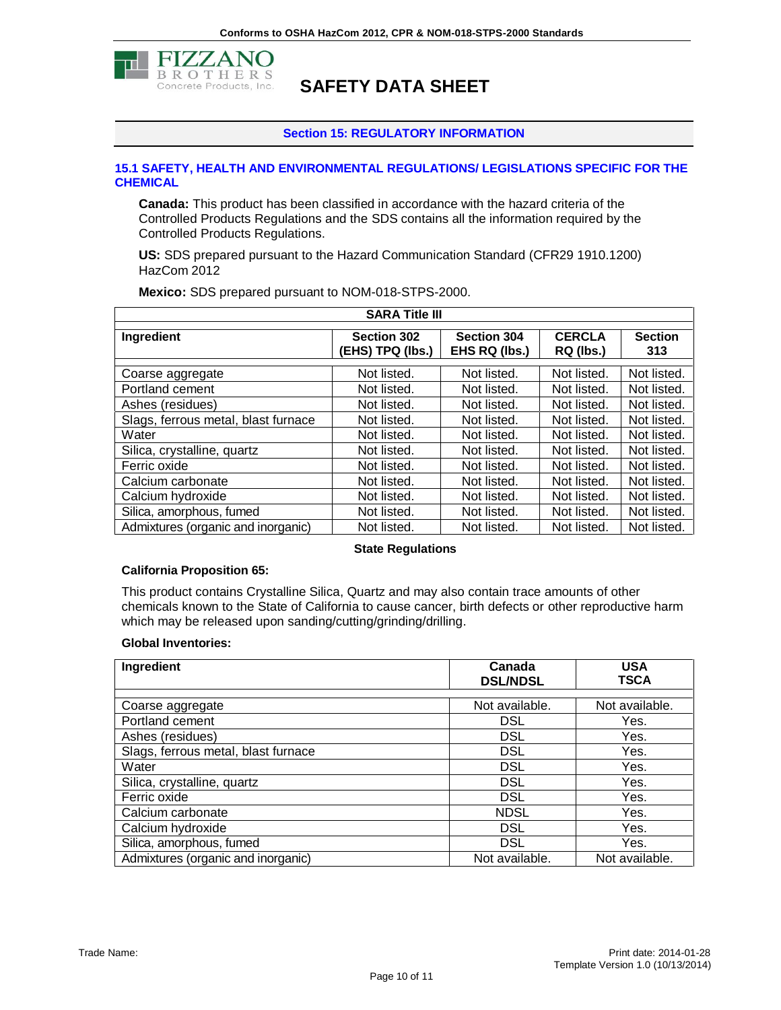

#### **Section 15: REGULATORY INFORMATION**

#### **15.1 SAFETY, HEALTH AND ENVIRONMENTAL REGULATIONS/ LEGISLATIONS SPECIFIC FOR THE CHEMICAL**

**Canada:** This product has been classified in accordance with the hazard criteria of the Controlled Products Regulations and the SDS contains all the information required by the Controlled Products Regulations.

**US:** SDS prepared pursuant to the Hazard Communication Standard (CFR29 1910.1200) HazCom 2012

| <b>SARA Title III</b>               |                                        |                                     |                            |                       |  |
|-------------------------------------|----------------------------------------|-------------------------------------|----------------------------|-----------------------|--|
| Ingredient                          | <b>Section 302</b><br>(EHS) TPQ (lbs.) | <b>Section 304</b><br>EHS RQ (lbs.) | <b>CERCLA</b><br>RQ (lbs.) | <b>Section</b><br>313 |  |
| Coarse aggregate                    | Not listed.                            | Not listed.                         | Not listed.                | Not listed.           |  |
| Portland cement                     | Not listed.                            | Not listed.                         | Not listed.                | Not listed.           |  |
| Ashes (residues)                    | Not listed.                            | Not listed.                         | Not listed.                | Not listed.           |  |
| Slags, ferrous metal, blast furnace | Not listed.                            | Not listed.                         | Not listed.                | Not listed.           |  |
| Water                               | Not listed.                            | Not listed.                         | Not listed.                | Not listed.           |  |
| Silica, crystalline, quartz         | Not listed.                            | Not listed.                         | Not listed.                | Not listed.           |  |
| Ferric oxide                        | Not listed.                            | Not listed.                         | Not listed.                | Not listed.           |  |
| Calcium carbonate                   | Not listed.                            | Not listed.                         | Not listed.                | Not listed.           |  |
| Calcium hydroxide                   | Not listed.                            | Not listed.                         | Not listed.                | Not listed.           |  |
| Silica, amorphous, fumed            | Not listed.                            | Not listed.                         | Not listed.                | Not listed.           |  |
| Admixtures (organic and inorganic)  | Not listed.                            | Not listed.                         | Not listed.                | Not listed.           |  |

**Mexico:** SDS prepared pursuant to NOM-018-STPS-2000.

#### **State Regulations**

#### **California Proposition 65:**

This product contains Crystalline Silica, Quartz and may also contain trace amounts of other chemicals known to the State of California to cause cancer, birth defects or other reproductive harm which may be released upon sanding/cutting/grinding/drilling.

#### **Global Inventories:**

| Ingredient                          | Canada<br><b>DSL/NDSL</b> | <b>USA</b><br><b>TSCA</b> |
|-------------------------------------|---------------------------|---------------------------|
|                                     |                           |                           |
| Coarse aggregate                    | Not available.            | Not available.            |
| Portland cement                     | <b>DSL</b>                | Yes.                      |
| Ashes (residues)                    | <b>DSL</b>                | Yes.                      |
| Slags, ferrous metal, blast furnace | <b>DSL</b>                | Yes.                      |
| Water                               | <b>DSL</b>                | Yes.                      |
| Silica, crystalline, quartz         | <b>DSL</b>                | Yes.                      |
| Ferric oxide                        | <b>DSL</b>                | Yes.                      |
| Calcium carbonate                   | <b>NDSL</b>               | Yes.                      |
| Calcium hydroxide                   | <b>DSL</b>                | Yes.                      |
| Silica, amorphous, fumed            | <b>DSL</b>                | Yes.                      |
| Admixtures (organic and inorganic)  | Not available.            | Not available.            |